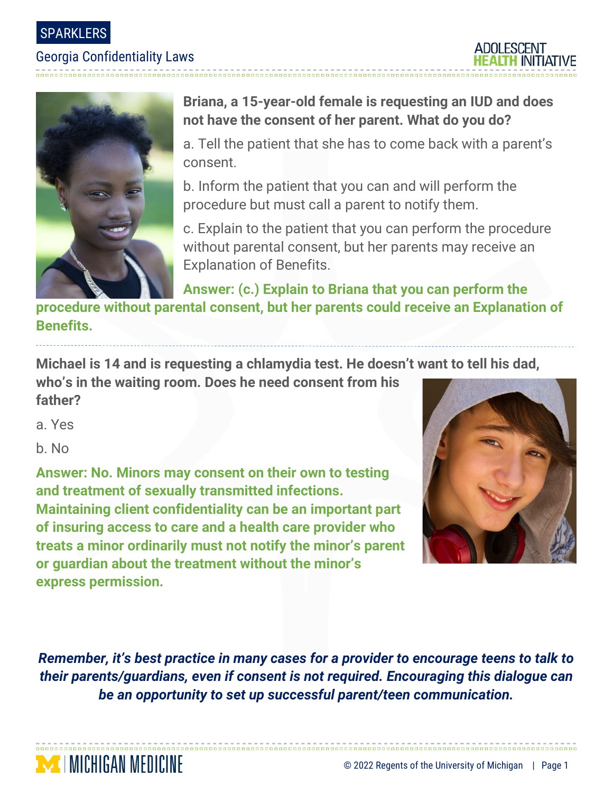SPARKLERS

### Georgia Confidentiality Laws





**MENICHIGAN MEDICINE** 

# **Briana, a 15-year-old female is requesting an IUD and does not have the consent of her parent. What do you do?**

a. Tell the patient that she has to come back with a parent's consent.

b. Inform the patient that you can and will perform the procedure but must call a parent to notify them.

c. Explain to the patient that you can perform the procedure without parental consent, but her parents may receive an Explanation of Benefits.

**Answer: (c.) Explain to Briana that you can perform the procedure without parental consent, but her parents could receive an Explanation of Benefits.** 

**Michael is 14 and is requesting a chlamydia test. He doesn't want to tell his dad,** 

**who's in the waiting room. Does he need consent from his father?**

a. Yes

b. No

**Answer: No. Minors may consent on their own to testing and treatment of sexually transmitted infections. Maintaining client confidentiality can be an important part of insuring access to care and a health care provider who treats a minor ordinarily must not notify the minor's parent or guardian about the treatment without the minor's express permission.**



*Remember, it's best practice in many cases for a provider to encourage teens to talk to their parents/guardians, even if consent is not required. Encouraging this dialogue can be an opportunity to set up successful parent/teen communication.*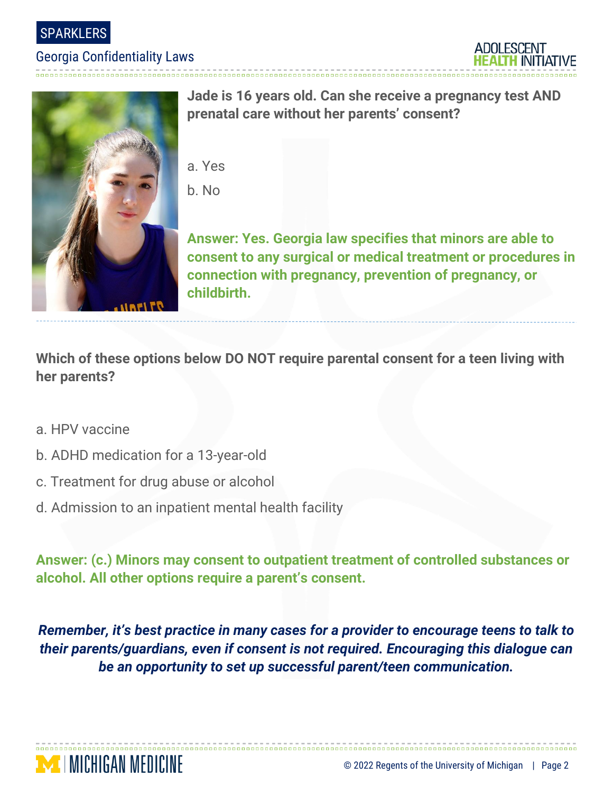SPARKLERS

### Georgia Confidentiality Laws





**Jade is 16 years old. Can she receive a pregnancy test AND prenatal care without her parents' consent?**

- a. Yes
- b. No

**Answer: Yes. Georgia law specifies that minors are able to consent to any surgical or medical treatment or procedures in connection with pregnancy, prevention of pregnancy, or childbirth.** 

**Which of these options below DO NOT require parental consent for a teen living with her parents?**

- a. HPV vaccine
- b. ADHD medication for a 13-year-old
- c. Treatment for drug abuse or alcohol
- d. Admission to an inpatient mental health facility

**Answer: (c.) Minors may consent to outpatient treatment of controlled substances or alcohol. All other options require a parent's consent.** 

*Remember, it's best practice in many cases for a provider to encourage teens to talk to their parents/guardians, even if consent is not required. Encouraging this dialogue can be an opportunity to set up successful parent/teen communication.*